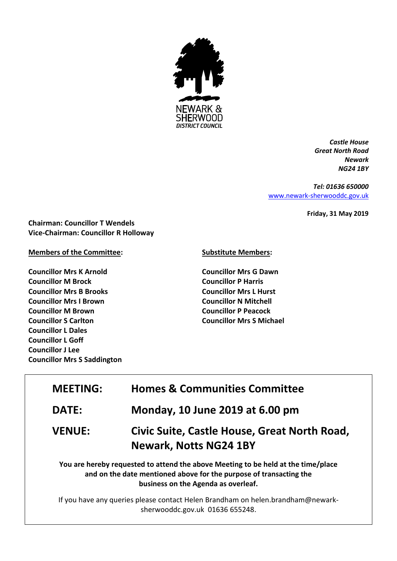

*Castle House Great North Road Newark NG24 1BY*

*Tel: 01636 650000* [www.newark-sherwooddc.gov.uk](http://www.newark-sherwooddc.gov.uk/)

**Friday, 31 May 2019**

**Chairman: Councillor T Wendels Vice-Chairman: Councillor R Holloway**

## **Members of the Committee:**

**Councillor Mrs K Arnold Councillor M Brock Councillor Mrs B Brooks Councillor Mrs I Brown Councillor M Brown Councillor S Carlton Councillor L Dales Councillor L Goff Councillor J Lee Councillor Mrs S Saddington**

## **Substitute Members:**

**Councillor Mrs G Dawn Councillor P Harris Councillor Mrs L Hurst Councillor N Mitchell Councillor P Peacock Councillor Mrs S Michael**

| <b>MEETING:</b> | <b>Homes &amp; Communities Committee</b>                                                                                                                                                       |
|-----------------|------------------------------------------------------------------------------------------------------------------------------------------------------------------------------------------------|
| <b>DATE:</b>    | Monday, 10 June 2019 at 6.00 pm                                                                                                                                                                |
| <b>VENUE:</b>   | Civic Suite, Castle House, Great North Road,<br><b>Newark, Notts NG24 1BY</b>                                                                                                                  |
|                 | You are hereby requested to attend the above Meeting to be held at the time/place<br>and on the date mentioned above for the purpose of transacting the<br>business on the Agenda as overleaf. |

If you have any queries please contact Helen Brandham on helen.brandham@newarksherwooddc.gov.uk 01636 655248.